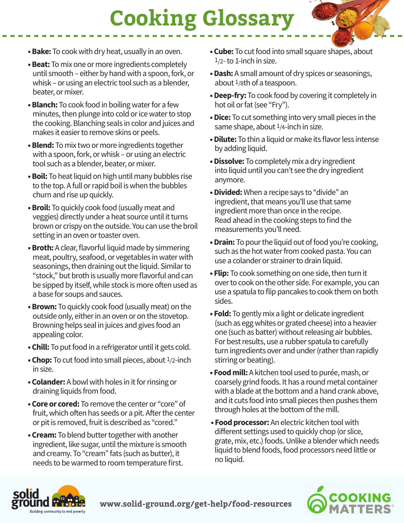## **Cooking Glossary**

- **Bake:** To cook with dry heat, usually in an oven.
- **Beat:** To mix one or more ingredients completely until smooth – either by hand with a spoon, fork, or whisk – or using an electric tool such as a blender, beater, or mixer.
- **Blanch:** To cook food in boiling water for a few minutes, then plunge into cold or ice water to stop the cooking. Blanching seals in color and juices and makes it easier to remove skins or peels.
- **Blend:** To mix two or more ingredients together with a spoon, fork, or whisk – or using an electric tool such as a blender, beater, or mixer.
- **Boil:** To heat liquid on high until many bubbles rise to the top. A full or rapid boil is when the bubbles churn and rise up quickly.
- **Broil:** To quickly cook food (usually meat and veggies) directly under a heat source until it turns brown or crispy on the outside. You can use the broil setting in an oven or toaster oven.
- **Broth:** A clear, flavorful liquid made by simmering meat, poultry, seafood, or vegetables in water with seasonings, then draining out the liquid. Similar to "stock," but broth is usually more flavorful and can be sipped by itself, while stock is more often used as a base for soups and sauces.
- **Brown:** To quickly cook food (usually meat) on the outside only, either in an oven or on the stovetop. Browning helps seal in juices and gives food an appealing color.
- **Chill:** To put food in a refrigerator until it gets cold.
- **Chop:** To cut food into small pieces, about 1/2-inch in size.
- **Colander:** A bowl with holes in it for rinsing or draining liquids from food.
- **Core or cored:** To remove the center or "core" of fruit, which often has seeds or a pit. After the center or pit is removed, fruit is described as "cored."
- **Cream:** To blend butter together with another ingredient, like sugar, until the mixture is smooth and creamy. To "cream" fats (such as butter), it needs to be warmed to room temperature first.
- **Cube:** To cut food into small square shapes, about 1/2- to 1-inch in size.
- **Dash:** A small amount of dry spices or seasonings, about 1/8th of a teaspoon.
- **Deep-fry:** To cook food by covering it completely in hot oil or fat (see "Fry").
- **Dice:** To cut something into very small pieces in the same shape, about 1/4-inch in size.
- **Dilute:** To thin a liquid or make its flavor less intense by adding liquid.
- **Dissolve:** To completely mix a dry ingredient into liquid until you can't see the dry ingredient anymore.
- **Divided:** When a recipe says to "divide" an ingredient, that means you'll use that same ingredient more than once in the recipe. Read ahead in the cooking steps to find the measurements you'll need.
- **Drain:** To pour the liquid out of food you're cooking, such as the hot water from cooked pasta. You can use a colander or strainer to drain liquid.
- **Flip:** To cook something on one side, then turn it over to cook on the other side. For example, you can use a spatula to flip pancakes to cook them on both sides.
- **Fold:** To gently mix a light or delicate ingredient (such as egg whites or grated cheese) into a heavier one (such as batter) without releasing air bubbles. For best results, use a rubber spatula to carefully turn ingredients over and under (rather than rapidly stirring or beating).
- **Food mill:** A kitchen tool used to purée, mash, or coarsely grind foods. It has a round metal container with a blade at the bottom and a hand crank above, and it cuts food into small pieces then pushes them through holes at the bottom of the mill.
- **Food processor:** An electric kitchen tool with different settings used to quickly chop (or slice, grate, mix, etc.) foods. Unlike a blender which needs liquid to blend foods, food processors need little or no liquid.



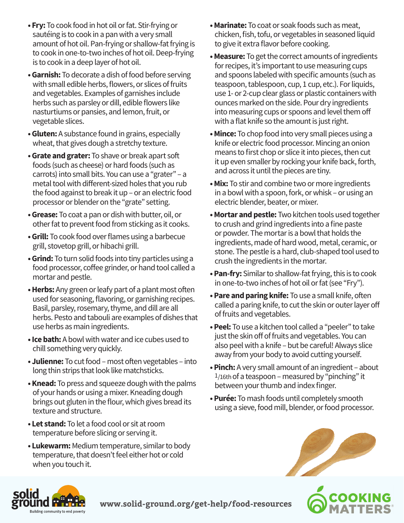- **Fry:** To cook food in hot oil or fat. Stir-frying or sautéing is to cook in a pan with a very small amount of hot oil. Pan-frying or shallow-fat frying is to cook in one-to-two inches of hot oil. Deep-frying is to cook in a deep layer of hot oil.
- **Garnish:** To decorate a dish of food before serving with small edible herbs, flowers, or slices of fruits and vegetables. Examples of garnishes include herbs such as parsley or dill, edible flowers like nasturtiums or pansies, and lemon, fruit, or vegetable slices.
- **Gluten:** A substance found in grains, especially wheat, that gives dough a stretchy texture.
- **Grate and grater:** To shave or break apart soft foods (such as cheese) or hard foods (such as carrots) into small bits. You can use a "grater" – a metal tool with different-sized holes that you rub the food against to break it up – or an electric food processor or blender on the "grate" setting.
- **Grease:** To coat a pan or dish with butter, oil, or other fat to prevent food from sticking as it cooks.
- **Grill:** To cook food over flames using a barbecue grill, stovetop grill, or hibachi grill.
- **Grind:** To turn solid foods into tiny particles using a food processor, coffee grinder, or hand tool called a mortar and pestle.
- **Herbs:** Any green or leafy part of a plant most often used for seasoning, flavoring, or garnishing recipes. Basil, parsley, rosemary, thyme, and dill are all herbs. Pesto and tabouli are examples of dishes that use herbs as main ingredients.
- **Ice bath:** A bowl with water and ice cubes used to chill something very quickly.
- **Julienne:** To cut food most often vegetables into long thin strips that look like matchsticks.
- **Knead:** To press and squeeze dough with the palms of your hands or using a mixer. Kneading dough brings out gluten in the flour, which gives bread its texture and structure.
- **Let stand:** To let a food cool or sit at room temperature before slicing or serving it.
- **Lukewarm:** Medium temperature, similar to body temperature, that doesn't feel either hot or cold when you touch it.
- **Marinate:** To coat or soak foods such as meat, chicken, fish, tofu, or vegetables in seasoned liquid to give it extra flavor before cooking.
- **Measure:** To get the correct amounts of ingredients for recipes, it's important to use measuring cups and spoons labeled with specific amounts (such as teaspoon, tablespoon, cup, 1 cup, etc.). For liquids, use 1- or 2-cup clear glass or plastic containers with ounces marked on the side. Pour dry ingredients into measuring cups or spoons and level them off with a flat knife so the amount is just right.
- **Mince:** To chop food into very small pieces using a knife or electric food processor. Mincing an onion means to first chop or slice it into pieces, then cut it up even smaller by rocking your knife back, forth, and across it until the pieces are tiny.
- **Mix:** To stir and combine two or more ingredients in a bowl with a spoon, fork, or whisk – or using an electric blender, beater, or mixer.
- **Mortar and pestle:** Two kitchen tools used together to crush and grind ingredients into a fine paste or powder. The mortar is a bowl that holds the ingredients, made of hard wood, metal, ceramic, or stone. The pestle is a hard, club-shaped tool used to crush the ingredients in the mortar.
- **Pan-fry:** Similar to shallow-fat frying, this is to cook in one-to-two inches of hot oil or fat (see "Fry").
- **Pare and paring knife:** To use a small knife, often called a paring knife, to cut the skin or outer layer off of fruits and vegetables.
- **Peel:** To use a kitchen tool called a "peeler" to take just the skin off of fruits and vegetables. You can also peel with a knife – but be careful! Always slice away from your body to avoid cutting yourself.
- **Pinch:** A very small amount of an ingredient about  $1/16$ th of a teaspoon – measured by "pinching" it between your thumb and index finger.
- **Purée:** To mash foods until completely smooth using a sieve, food mill, blender, or food processor.







**www.solid-ground.org/get-help/food-resources**